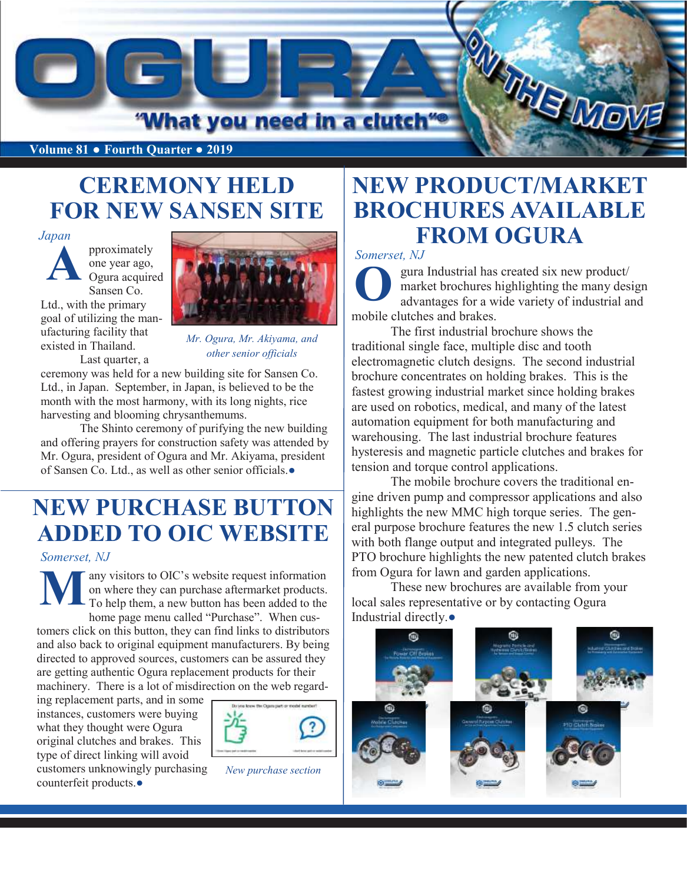

**Volume 81** ● **Fourth Quarter ● 2019**

### **CEREMONY HELD FOR NEW SANSEN SITE**

#### *Japan*

pproximately one year ago, Ogura acquired Sansen Co. Ltd., with the primary goal of utilizing the manufacturing facility that existed in Thailand. Last quarter, a **A**



*Mr. Ogura, Mr. Akiyama, and other senior officials* 

ceremony was held for a new building site for Sansen Co. Ltd., in Japan. September, in Japan, is believed to be the month with the most harmony, with its long nights, rice harvesting and blooming chrysanthemums.

The Shinto ceremony of purifying the new building and offering prayers for construction safety was attended by Mr. Ogura, president of Ogura and Mr. Akiyama, president of Sansen Co. Ltd., as well as other senior officials.●

### **NEW PURCHASE BUTTON ADDED TO OIC WEBSITE**

*Somerset, NJ*

any visitors to OIC's website request information on where they can purchase aftermarket products. To help them, a new button has been added to the home page menu called "Purchase". When cus-**M**

tomers click on this button, they can find links to distributors and also back to original equipment manufacturers. By being directed to approved sources, customers can be assured they are getting authentic Ogura replacement products for their machinery. There is a lot of misdirection on the web regard-

ing replacement parts, and in some instances, customers were buying what they thought were Ogura original clutches and brakes. This type of direct linking will avoid customers unknowingly purchasing counterfeit products.●



*New purchase section*

#### **NEW PRODUCT/MARKET BROCHURES AVAILABLE FROM OGURA**

*Somerset, NJ*

gura Industrial has created six new product/ market brochures highlighting the many design advantages for a wide variety of industrial and mobile clutches and brakes. **O**

The first industrial brochure shows the traditional single face, multiple disc and tooth electromagnetic clutch designs. The second industrial brochure concentrates on holding brakes. This is the fastest growing industrial market since holding brakes are used on robotics, medical, and many of the latest automation equipment for both manufacturing and warehousing. The last industrial brochure features hysteresis and magnetic particle clutches and brakes for tension and torque control applications.

The mobile brochure covers the traditional engine driven pump and compressor applications and also highlights the new MMC high torque series. The general purpose brochure features the new 1.5 clutch series with both flange output and integrated pulleys. The PTO brochure highlights the new patented clutch brakes from Ogura for lawn and garden applications.

These new brochures are available from your local sales representative or by contacting Ogura Industrial directly.●

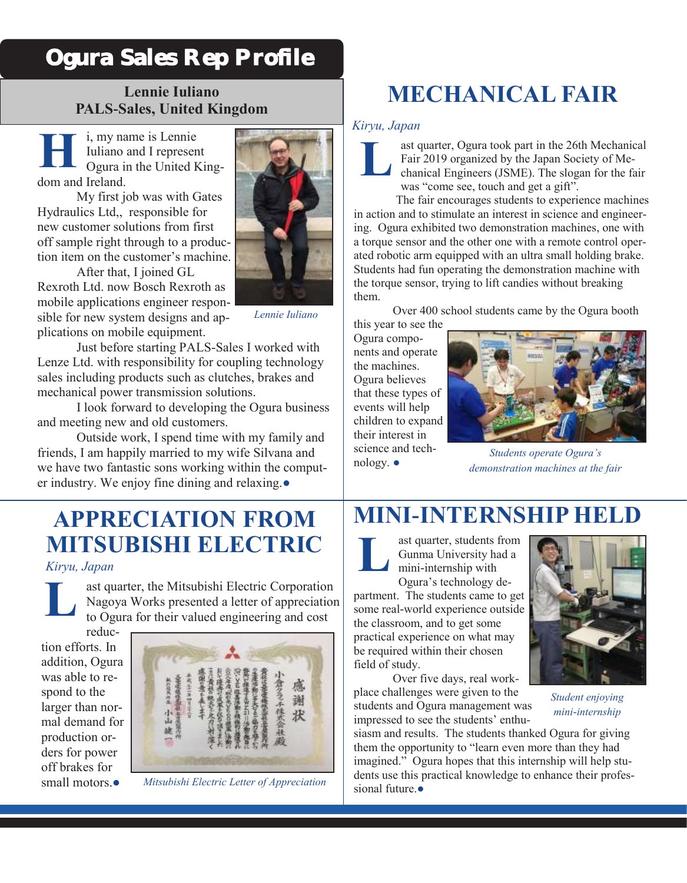### Ogura Sales Rep Profile

#### **Lennie Iuliano PALS-Sales, United Kingdom**

i, my name is Lennie Iuliano and I represent Ogura in the United Kingdom and Ireland. **H**

My first job was with Gates Hydraulics Ltd,, responsible for new customer solutions from first off sample right through to a production item on the customer's machine.

After that, I joined GL Rexroth Ltd. now Bosch Rexroth as mobile applications engineer responsible for new system designs and applications on mobile equipment.



*Lennie Iuliano*

Just before starting PALS-Sales I worked with Lenze Ltd. with responsibility for coupling technology sales including products such as clutches, brakes and mechanical power transmission solutions.

I look forward to developing the Ogura business and meeting new and old customers.

Outside work, I spend time with my family and friends, I am happily married to my wife Silvana and we have two fantastic sons working within the computer industry. We enjoy fine dining and relaxing.●

### **APPRECIATION FROM MITSUBISHI ELECTRIC**

*Kiryu, Japan*

ast quarter, the Mitsubishi Electric Corporation Nagoya Works presented a letter of appreciation to Ogura for their valued engineering and cost **L**

reduction efforts. In addition, Ogura was able to respond to the larger than normal demand for production orders for power off brakes for small motors.●



*Mitsubishi Electric Letter of Appreciation*

# **MECHANICAL FAIR**

#### *Kiryu, Japan*



ast quarter, Ogura took part in the 26th Mechanical Fair 2019 organized by the Japan Society of Mechanical Engineers (JSME). The slogan for the fair was "come see, touch and get a gift".

 The fair encourages students to experience machines in action and to stimulate an interest in science and engineering. Ogura exhibited two demonstration machines, one with a torque sensor and the other one with a remote control operated robotic arm equipped with an ultra small holding brake. Students had fun operating the demonstration machine with the torque sensor, trying to lift candies without breaking them.

Over 400 school students came by the Ogura booth

this year to see the Ogura components and operate the machines. Ogura believes that these types of events will help children to expand their interest in science and technology. ●



*Students operate Ogura's demonstration machines at the fair*

## **MINI-INTERNSHIP HELD**



ast quarter, students from Gunma University had a mini-internship with

Ogura's technology department. The students came to get some real-world experience outside the classroom, and to get some practical experience on what may be required within their chosen field of study.

Over five days, real workplace challenges were given to the students and Ogura management was impressed to see the students' enthu-

siasm and results. The students thanked Ogura for giving them the opportunity to "learn even more than they had imagined." Ogura hopes that this internship will help students use this practical knowledge to enhance their professional future.●



*Student enjoying mini-internship*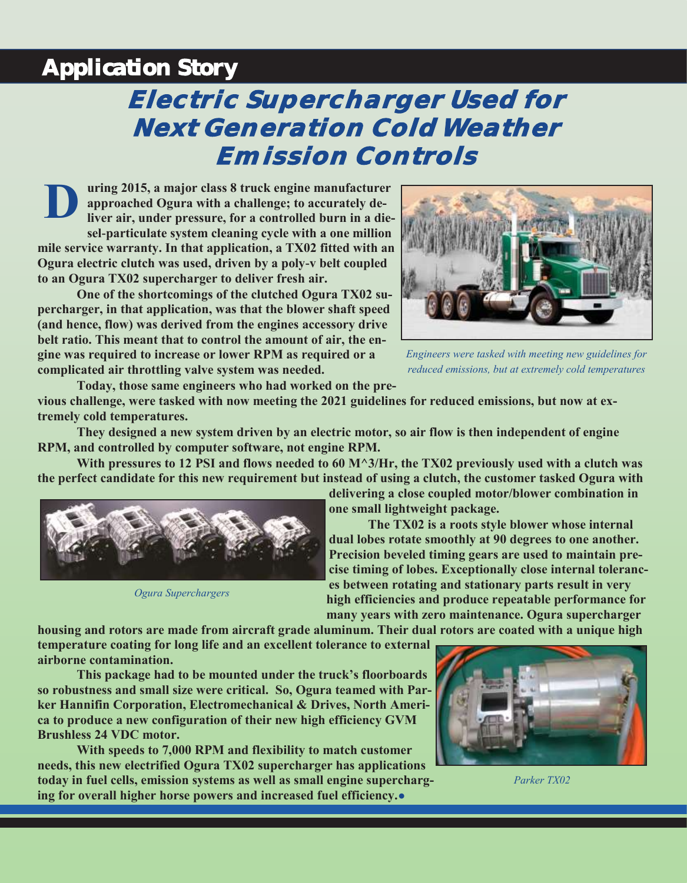#### Application Story

# **Electric Supercharger Used for Next Generation Cold Weather Emission Controls**

**uring 2015, a major class 8 truck engine manufacturer approached Ogura with a challenge; to accurately deliver air, under pressure, for a controlled burn in a diesel-particulate system cleaning cycle with a one million mile service warranty. In that application, a TX02 fitted with an Ogura electric clutch was used, driven by a poly-v belt coupled to an Ogura TX02 supercharger to deliver fresh air. D**

**One of the shortcomings of the clutched Ogura TX02 supercharger, in that application, was that the blower shaft speed (and hence, flow) was derived from the engines accessory drive belt ratio. This meant that to control the amount of air, the engine was required to increase or lower RPM as required or a complicated air throttling valve system was needed.** 



*Engineers were tasked with meeting new guidelines for reduced emissions, but at extremely cold temperatures*

**Today, those same engineers who had worked on the previous challenge, were tasked with now meeting the 2021 guidelines for reduced emissions, but now at extremely cold temperatures.** 

**They designed a new system driven by an electric motor, so air flow is then independent of engine RPM, and controlled by computer software, not engine RPM.** 

**With pressures to 12 PSI and flows needed to 60 M^3/Hr, the TX02 previously used with a clutch was the perfect candidate for this new requirement but instead of using a clutch, the customer tasked Ogura with** 



*Ogura Superchargers*

**delivering a close coupled motor/blower combination in one small lightweight package.**

**The TX02 is a roots style blower whose internal dual lobes rotate smoothly at 90 degrees to one another. Precision beveled timing gears are used to maintain precise timing of lobes. Exceptionally close internal tolerances between rotating and stationary parts result in very high efficiencies and produce repeatable performance for many years with zero maintenance. Ogura supercharger** 

**housing and rotors are made from aircraft grade aluminum. Their dual rotors are coated with a unique high temperature coating for long life and an excellent tolerance to external airborne contamination.**

**This package had to be mounted under the truck's floorboards so robustness and small size were critical. So, Ogura teamed with Parker Hannifin Corporation, Electromechanical & Drives, North America to produce a new configuration of their new high efficiency GVM Brushless 24 VDC motor.**

**With speeds to 7,000 RPM and flexibility to match customer needs, this new electrified Ogura TX02 supercharger has applications today in fuel cells, emission systems as well as small engine supercharging for overall higher horse powers and increased fuel efficiency.**●



*Parker TX02*